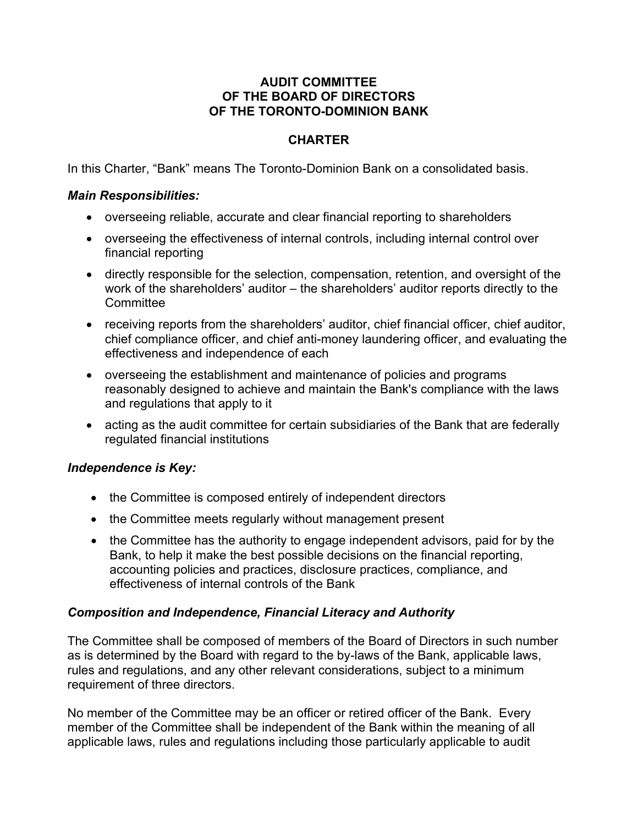#### **AUDIT COMMITTEE OF THE BOARD OF DIRECTORS OF THE TORONTO-DOMINION BANK**

# **CHARTER**

In this Charter, "Bank" means The Toronto-Dominion Bank on a consolidated basis.

#### *Main Responsibilities:*

- overseeing reliable, accurate and clear financial reporting to shareholders
- overseeing the effectiveness of internal controls, including internal control over financial reporting
- directly responsible for the selection, compensation, retention, and oversight of the work of the shareholders' auditor – the shareholders' auditor reports directly to the **Committee**
- receiving reports from the shareholders' auditor, chief financial officer, chief auditor, chief compliance officer, and chief anti-money laundering officer, and evaluating the effectiveness and independence of each
- overseeing the establishment and maintenance of policies and programs reasonably designed to achieve and maintain the Bank's compliance with the laws and regulations that apply to it
- acting as the audit committee for certain subsidiaries of the Bank that are federally regulated financial institutions

### *Independence is Key:*

- the Committee is composed entirely of independent directors
- the Committee meets regularly without management present
- the Committee has the authority to engage independent advisors, paid for by the Bank, to help it make the best possible decisions on the financial reporting, accounting policies and practices, disclosure practices, compliance, and effectiveness of internal controls of the Bank

### *Composition and Independence, Financial Literacy and Authority*

The Committee shall be composed of members of the Board of Directors in such number as is determined by the Board with regard to the by-laws of the Bank, applicable laws, rules and regulations, and any other relevant considerations, subject to a minimum requirement of three directors.

No member of the Committee may be an officer or retired officer of the Bank. Every member of the Committee shall be independent of the Bank within the meaning of all applicable laws, rules and regulations including those particularly applicable to audit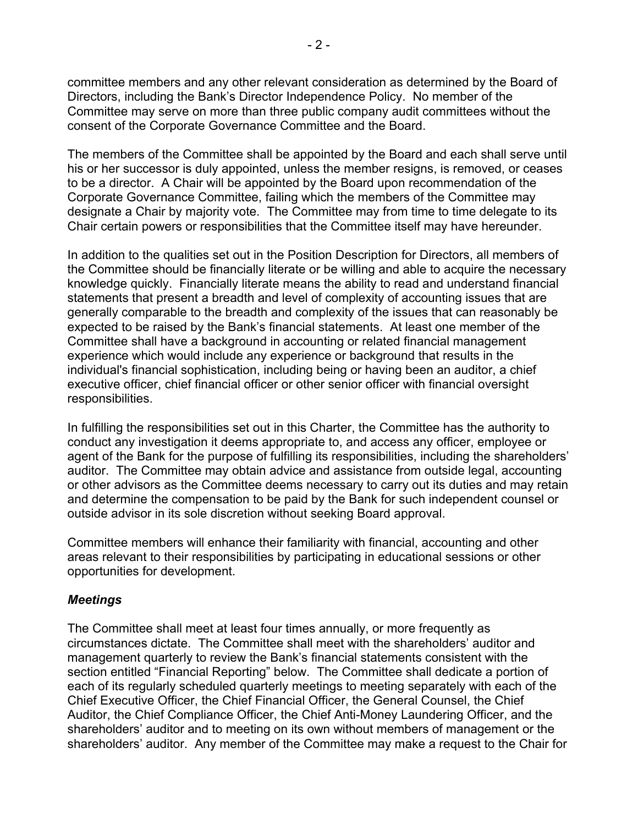committee members and any other relevant consideration as determined by the Board of Directors, including the Bank's Director Independence Policy. No member of the Committee may serve on more than three public company audit committees without the consent of the Corporate Governance Committee and the Board.

The members of the Committee shall be appointed by the Board and each shall serve until his or her successor is duly appointed, unless the member resigns, is removed, or ceases to be a director. A Chair will be appointed by the Board upon recommendation of the Corporate Governance Committee, failing which the members of the Committee may designate a Chair by majority vote. The Committee may from time to time delegate to its Chair certain powers or responsibilities that the Committee itself may have hereunder.

In addition to the qualities set out in the Position Description for Directors, all members of the Committee should be financially literate or be willing and able to acquire the necessary knowledge quickly. Financially literate means the ability to read and understand financial statements that present a breadth and level of complexity of accounting issues that are generally comparable to the breadth and complexity of the issues that can reasonably be expected to be raised by the Bank's financial statements. At least one member of the Committee shall have a background in accounting or related financial management experience which would include any experience or background that results in the individual's financial sophistication, including being or having been an auditor, a chief executive officer, chief financial officer or other senior officer with financial oversight responsibilities.

In fulfilling the responsibilities set out in this Charter, the Committee has the authority to conduct any investigation it deems appropriate to, and access any officer, employee or agent of the Bank for the purpose of fulfilling its responsibilities, including the shareholders' auditor. The Committee may obtain advice and assistance from outside legal, accounting or other advisors as the Committee deems necessary to carry out its duties and may retain and determine the compensation to be paid by the Bank for such independent counsel or outside advisor in its sole discretion without seeking Board approval.

Committee members will enhance their familiarity with financial, accounting and other areas relevant to their responsibilities by participating in educational sessions or other opportunities for development.

#### *Meetings*

The Committee shall meet at least four times annually, or more frequently as circumstances dictate. The Committee shall meet with the shareholders' auditor and management quarterly to review the Bank's financial statements consistent with the section entitled "Financial Reporting" below. The Committee shall dedicate a portion of each of its regularly scheduled quarterly meetings to meeting separately with each of the Chief Executive Officer, the Chief Financial Officer, the General Counsel, the Chief Auditor, the Chief Compliance Officer, the Chief Anti-Money Laundering Officer, and the shareholders' auditor and to meeting on its own without members of management or the shareholders' auditor. Any member of the Committee may make a request to the Chair for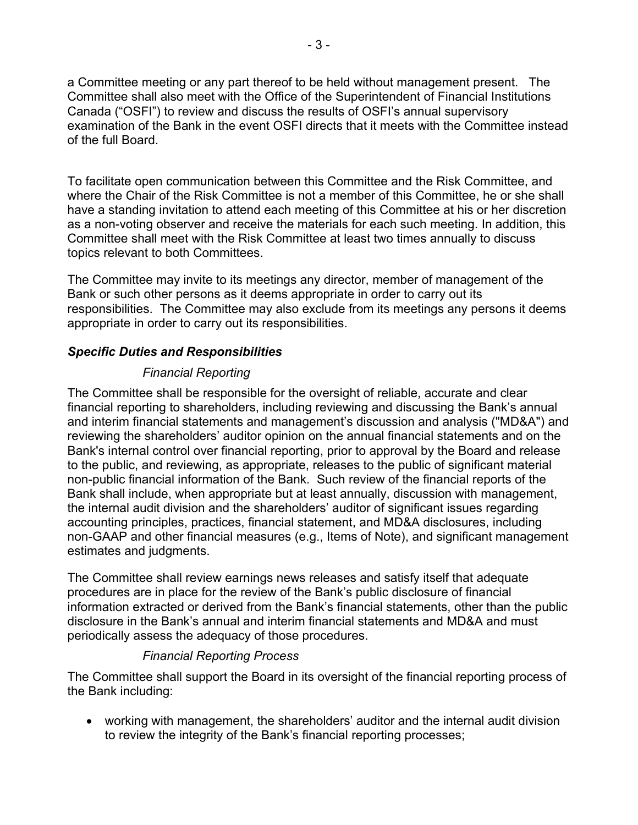a Committee meeting or any part thereof to be held without management present. The Committee shall also meet with the Office of the Superintendent of Financial Institutions Canada ("OSFI") to review and discuss the results of OSFI's annual supervisory examination of the Bank in the event OSFI directs that it meets with the Committee instead of the full Board.

To facilitate open communication between this Committee and the Risk Committee, and where the Chair of the Risk Committee is not a member of this Committee, he or she shall have a standing invitation to attend each meeting of this Committee at his or her discretion as a non-voting observer and receive the materials for each such meeting. In addition, this Committee shall meet with the Risk Committee at least two times annually to discuss topics relevant to both Committees.

The Committee may invite to its meetings any director, member of management of the Bank or such other persons as it deems appropriate in order to carry out its responsibilities. The Committee may also exclude from its meetings any persons it deems appropriate in order to carry out its responsibilities.

### *Specific Duties and Responsibilities*

#### *Financial Reporting*

The Committee shall be responsible for the oversight of reliable, accurate and clear financial reporting to shareholders, including reviewing and discussing the Bank's annual and interim financial statements and management's discussion and analysis ("MD&A") and reviewing the shareholders' auditor opinion on the annual financial statements and on the Bank's internal control over financial reporting, prior to approval by the Board and release to the public, and reviewing, as appropriate, releases to the public of significant material non-public financial information of the Bank. Such review of the financial reports of the Bank shall include, when appropriate but at least annually, discussion with management, the internal audit division and the shareholders' auditor of significant issues regarding accounting principles, practices, financial statement, and MD&A disclosures, including non-GAAP and other financial measures (e.g., Items of Note), and significant management estimates and judgments.

The Committee shall review earnings news releases and satisfy itself that adequate procedures are in place for the review of the Bank's public disclosure of financial information extracted or derived from the Bank's financial statements, other than the public disclosure in the Bank's annual and interim financial statements and MD&A and must periodically assess the adequacy of those procedures.

#### *Financial Reporting Process*

The Committee shall support the Board in its oversight of the financial reporting process of the Bank including:

• working with management, the shareholders' auditor and the internal audit division to review the integrity of the Bank's financial reporting processes;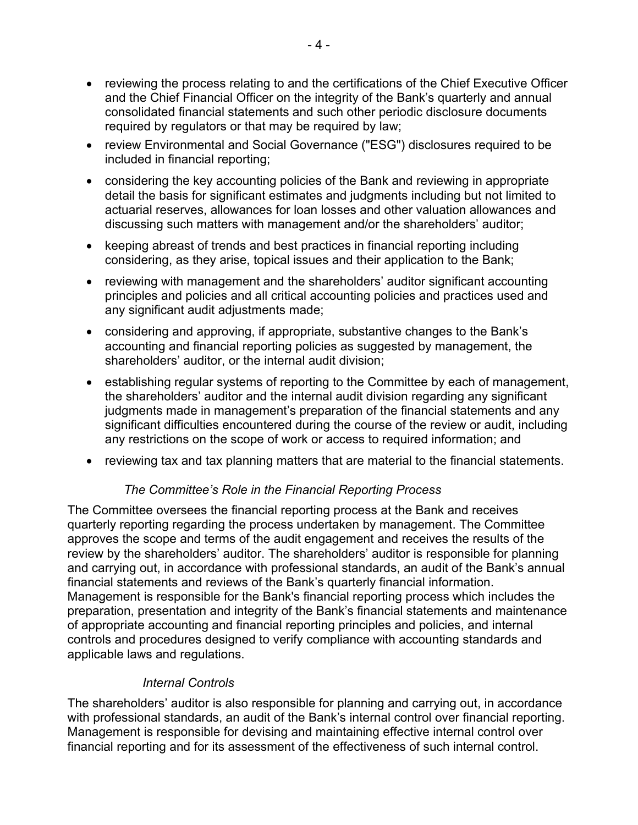- reviewing the process relating to and the certifications of the Chief Executive Officer and the Chief Financial Officer on the integrity of the Bank's quarterly and annual consolidated financial statements and such other periodic disclosure documents required by regulators or that may be required by law;
- review Environmental and Social Governance ("ESG") disclosures required to be included in financial reporting;
- considering the key accounting policies of the Bank and reviewing in appropriate detail the basis for significant estimates and judgments including but not limited to actuarial reserves, allowances for loan losses and other valuation allowances and discussing such matters with management and/or the shareholders' auditor;
- keeping abreast of trends and best practices in financial reporting including considering, as they arise, topical issues and their application to the Bank;
- reviewing with management and the shareholders' auditor significant accounting principles and policies and all critical accounting policies and practices used and any significant audit adjustments made;
- considering and approving, if appropriate, substantive changes to the Bank's accounting and financial reporting policies as suggested by management, the shareholders' auditor, or the internal audit division;
- establishing regular systems of reporting to the Committee by each of management, the shareholders' auditor and the internal audit division regarding any significant judgments made in management's preparation of the financial statements and any significant difficulties encountered during the course of the review or audit, including any restrictions on the scope of work or access to required information; and
- reviewing tax and tax planning matters that are material to the financial statements.

### *The Committee's Role in the Financial Reporting Process*

The Committee oversees the financial reporting process at the Bank and receives quarterly reporting regarding the process undertaken by management. The Committee approves the scope and terms of the audit engagement and receives the results of the review by the shareholders' auditor. The shareholders' auditor is responsible for planning and carrying out, in accordance with professional standards, an audit of the Bank's annual financial statements and reviews of the Bank's quarterly financial information. Management is responsible for the Bank's financial reporting process which includes the preparation, presentation and integrity of the Bank's financial statements and maintenance of appropriate accounting and financial reporting principles and policies, and internal controls and procedures designed to verify compliance with accounting standards and applicable laws and regulations.

### *Internal Controls*

The shareholders' auditor is also responsible for planning and carrying out, in accordance with professional standards, an audit of the Bank's internal control over financial reporting. Management is responsible for devising and maintaining effective internal control over financial reporting and for its assessment of the effectiveness of such internal control.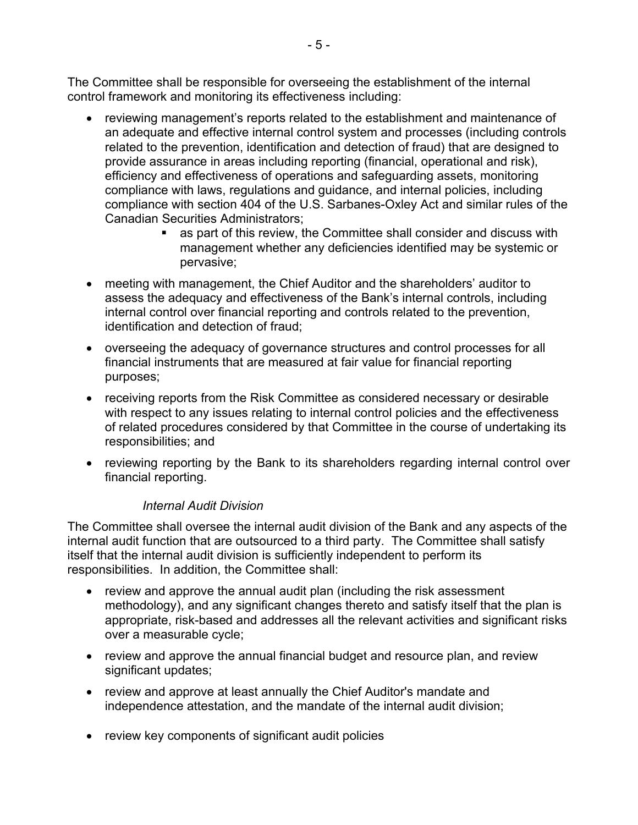The Committee shall be responsible for overseeing the establishment of the internal control framework and monitoring its effectiveness including:

- reviewing management's reports related to the establishment and maintenance of an adequate and effective internal control system and processes (including controls related to the prevention, identification and detection of fraud) that are designed to provide assurance in areas including reporting (financial, operational and risk), efficiency and effectiveness of operations and safeguarding assets, monitoring compliance with laws, regulations and guidance, and internal policies, including compliance with section 404 of the U.S. Sarbanes-Oxley Act and similar rules of the Canadian Securities Administrators;
	- as part of this review, the Committee shall consider and discuss with management whether any deficiencies identified may be systemic or pervasive;
- meeting with management, the Chief Auditor and the shareholders' auditor to assess the adequacy and effectiveness of the Bank's internal controls, including internal control over financial reporting and controls related to the prevention, identification and detection of fraud;
- overseeing the adequacy of governance structures and control processes for all financial instruments that are measured at fair value for financial reporting purposes;
- receiving reports from the Risk Committee as considered necessary or desirable with respect to any issues relating to internal control policies and the effectiveness of related procedures considered by that Committee in the course of undertaking its responsibilities; and
- reviewing reporting by the Bank to its shareholders regarding internal control over financial reporting.

### *Internal Audit Division*

The Committee shall oversee the internal audit division of the Bank and any aspects of the internal audit function that are outsourced to a third party. The Committee shall satisfy itself that the internal audit division is sufficiently independent to perform its responsibilities. In addition, the Committee shall:

- review and approve the annual audit plan (including the risk assessment methodology), and any significant changes thereto and satisfy itself that the plan is appropriate, risk-based and addresses all the relevant activities and significant risks over a measurable cycle;
- review and approve the annual financial budget and resource plan, and review significant updates;
- review and approve at least annually the Chief Auditor's mandate and independence attestation, and the mandate of the internal audit division;
- review key components of significant audit policies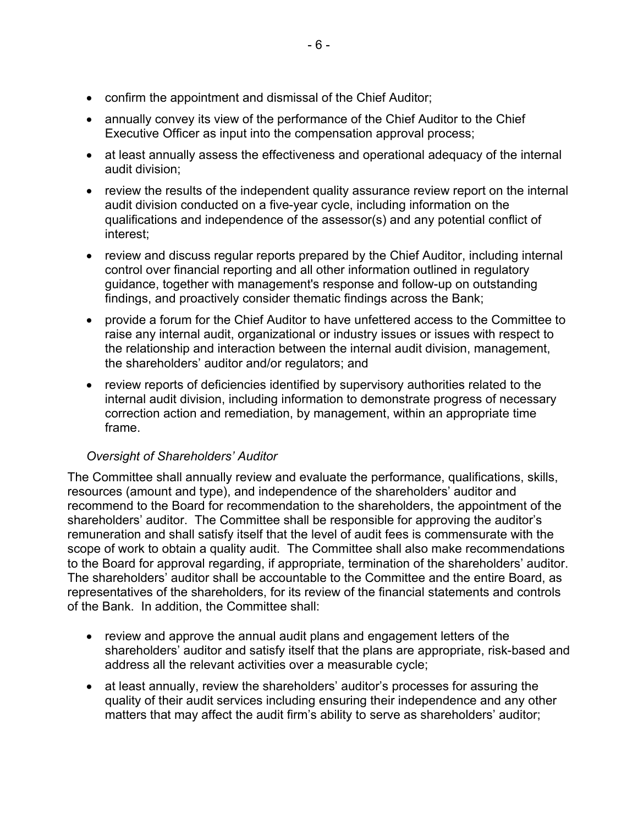- confirm the appointment and dismissal of the Chief Auditor;
- annually convey its view of the performance of the Chief Auditor to the Chief Executive Officer as input into the compensation approval process;
- at least annually assess the effectiveness and operational adequacy of the internal audit division;
- review the results of the independent quality assurance review report on the internal audit division conducted on a five-year cycle, including information on the qualifications and independence of the assessor(s) and any potential conflict of interest;
- review and discuss regular reports prepared by the Chief Auditor, including internal control over financial reporting and all other information outlined in regulatory guidance, together with management's response and follow-up on outstanding findings, and proactively consider thematic findings across the Bank;
- provide a forum for the Chief Auditor to have unfettered access to the Committee to raise any internal audit, organizational or industry issues or issues with respect to the relationship and interaction between the internal audit division, management, the shareholders' auditor and/or regulators; and
- review reports of deficiencies identified by supervisory authorities related to the internal audit division, including information to demonstrate progress of necessary correction action and remediation, by management, within an appropriate time frame.

### *Oversight of Shareholders' Auditor*

The Committee shall annually review and evaluate the performance, qualifications, skills, resources (amount and type), and independence of the shareholders' auditor and recommend to the Board for recommendation to the shareholders, the appointment of the shareholders' auditor. The Committee shall be responsible for approving the auditor's remuneration and shall satisfy itself that the level of audit fees is commensurate with the scope of work to obtain a quality audit. The Committee shall also make recommendations to the Board for approval regarding, if appropriate, termination of the shareholders' auditor. The shareholders' auditor shall be accountable to the Committee and the entire Board, as representatives of the shareholders, for its review of the financial statements and controls of the Bank. In addition, the Committee shall:

- review and approve the annual audit plans and engagement letters of the shareholders' auditor and satisfy itself that the plans are appropriate, risk-based and address all the relevant activities over a measurable cycle;
- at least annually, review the shareholders' auditor's processes for assuring the quality of their audit services including ensuring their independence and any other matters that may affect the audit firm's ability to serve as shareholders' auditor;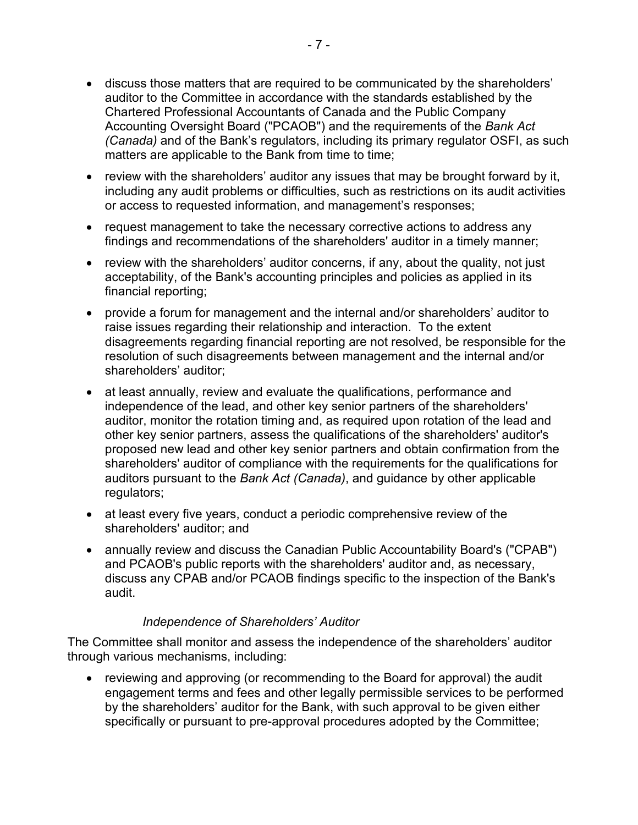- discuss those matters that are required to be communicated by the shareholders' auditor to the Committee in accordance with the standards established by the Chartered Professional Accountants of Canada and the Public Company Accounting Oversight Board ("PCAOB") and the requirements of the *Bank Act (Canada)* and of the Bank's regulators, including its primary regulator OSFI, as such matters are applicable to the Bank from time to time;
- review with the shareholders' auditor any issues that may be brought forward by it, including any audit problems or difficulties, such as restrictions on its audit activities or access to requested information, and management's responses;
- request management to take the necessary corrective actions to address any findings and recommendations of the shareholders' auditor in a timely manner;
- review with the shareholders' auditor concerns, if any, about the quality, not just acceptability, of the Bank's accounting principles and policies as applied in its financial reporting;
- provide a forum for management and the internal and/or shareholders' auditor to raise issues regarding their relationship and interaction. To the extent disagreements regarding financial reporting are not resolved, be responsible for the resolution of such disagreements between management and the internal and/or shareholders' auditor;
- at least annually, review and evaluate the qualifications, performance and independence of the lead, and other key senior partners of the shareholders' auditor, monitor the rotation timing and, as required upon rotation of the lead and other key senior partners, assess the qualifications of the shareholders' auditor's proposed new lead and other key senior partners and obtain confirmation from the shareholders' auditor of compliance with the requirements for the qualifications for auditors pursuant to the *Bank Act (Canada)*, and guidance by other applicable regulators;
- at least every five years, conduct a periodic comprehensive review of the shareholders' auditor; and
- annually review and discuss the Canadian Public Accountability Board's ("CPAB") and PCAOB's public reports with the shareholders' auditor and, as necessary, discuss any CPAB and/or PCAOB findings specific to the inspection of the Bank's audit.

#### *Independence of Shareholders' Auditor*

The Committee shall monitor and assess the independence of the shareholders' auditor through various mechanisms, including:

• reviewing and approving (or recommending to the Board for approval) the audit engagement terms and fees and other legally permissible services to be performed by the shareholders' auditor for the Bank, with such approval to be given either specifically or pursuant to pre-approval procedures adopted by the Committee;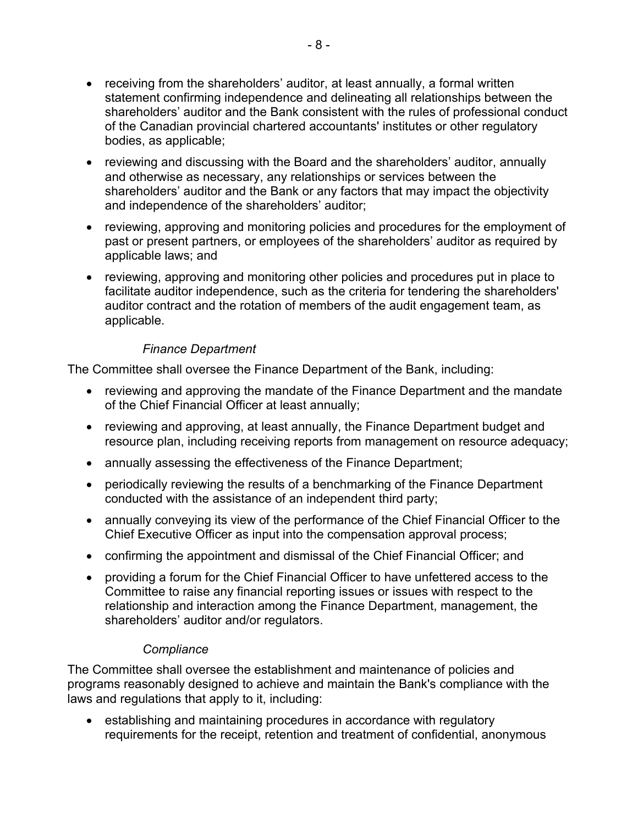- receiving from the shareholders' auditor, at least annually, a formal written statement confirming independence and delineating all relationships between the shareholders' auditor and the Bank consistent with the rules of professional conduct of the Canadian provincial chartered accountants' institutes or other regulatory bodies, as applicable;
- reviewing and discussing with the Board and the shareholders' auditor, annually and otherwise as necessary, any relationships or services between the shareholders' auditor and the Bank or any factors that may impact the objectivity and independence of the shareholders' auditor;
- reviewing, approving and monitoring policies and procedures for the employment of past or present partners, or employees of the shareholders' auditor as required by applicable laws; and
- reviewing, approving and monitoring other policies and procedures put in place to facilitate auditor independence, such as the criteria for tendering the shareholders' auditor contract and the rotation of members of the audit engagement team, as applicable.

# *Finance Department*

The Committee shall oversee the Finance Department of the Bank, including:

- reviewing and approving the mandate of the Finance Department and the mandate of the Chief Financial Officer at least annually;
- reviewing and approving, at least annually, the Finance Department budget and resource plan, including receiving reports from management on resource adequacy;
- annually assessing the effectiveness of the Finance Department;
- periodically reviewing the results of a benchmarking of the Finance Department conducted with the assistance of an independent third party;
- annually conveying its view of the performance of the Chief Financial Officer to the Chief Executive Officer as input into the compensation approval process;
- confirming the appointment and dismissal of the Chief Financial Officer; and
- providing a forum for the Chief Financial Officer to have unfettered access to the Committee to raise any financial reporting issues or issues with respect to the relationship and interaction among the Finance Department, management, the shareholders' auditor and/or regulators.

# *Compliance*

The Committee shall oversee the establishment and maintenance of policies and programs reasonably designed to achieve and maintain the Bank's compliance with the laws and regulations that apply to it, including:

• establishing and maintaining procedures in accordance with regulatory requirements for the receipt, retention and treatment of confidential, anonymous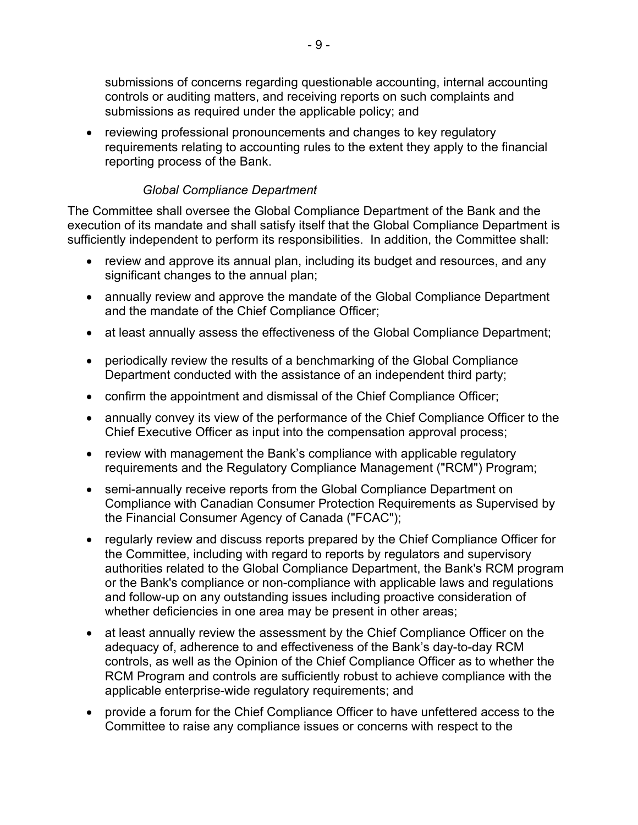submissions of concerns regarding questionable accounting, internal accounting controls or auditing matters, and receiving reports on such complaints and submissions as required under the applicable policy; and

• reviewing professional pronouncements and changes to key regulatory requirements relating to accounting rules to the extent they apply to the financial reporting process of the Bank.

#### *Global Compliance Department*

The Committee shall oversee the Global Compliance Department of the Bank and the execution of its mandate and shall satisfy itself that the Global Compliance Department is sufficiently independent to perform its responsibilities. In addition, the Committee shall:

- review and approve its annual plan, including its budget and resources, and any significant changes to the annual plan;
- annually review and approve the mandate of the Global Compliance Department and the mandate of the Chief Compliance Officer;
- at least annually assess the effectiveness of the Global Compliance Department;
- periodically review the results of a benchmarking of the Global Compliance Department conducted with the assistance of an independent third party;
- confirm the appointment and dismissal of the Chief Compliance Officer;
- annually convey its view of the performance of the Chief Compliance Officer to the Chief Executive Officer as input into the compensation approval process;
- review with management the Bank's compliance with applicable regulatory requirements and the Regulatory Compliance Management ("RCM") Program;
- semi-annually receive reports from the Global Compliance Department on Compliance with Canadian Consumer Protection Requirements as Supervised by the Financial Consumer Agency of Canada ("FCAC");
- regularly review and discuss reports prepared by the Chief Compliance Officer for the Committee, including with regard to reports by regulators and supervisory authorities related to the Global Compliance Department, the Bank's RCM program or the Bank's compliance or non-compliance with applicable laws and regulations and follow-up on any outstanding issues including proactive consideration of whether deficiencies in one area may be present in other areas;
- at least annually review the assessment by the Chief Compliance Officer on the adequacy of, adherence to and effectiveness of the Bank's day-to-day RCM controls, as well as the Opinion of the Chief Compliance Officer as to whether the RCM Program and controls are sufficiently robust to achieve compliance with the applicable enterprise-wide regulatory requirements; and
- provide a forum for the Chief Compliance Officer to have unfettered access to the Committee to raise any compliance issues or concerns with respect to the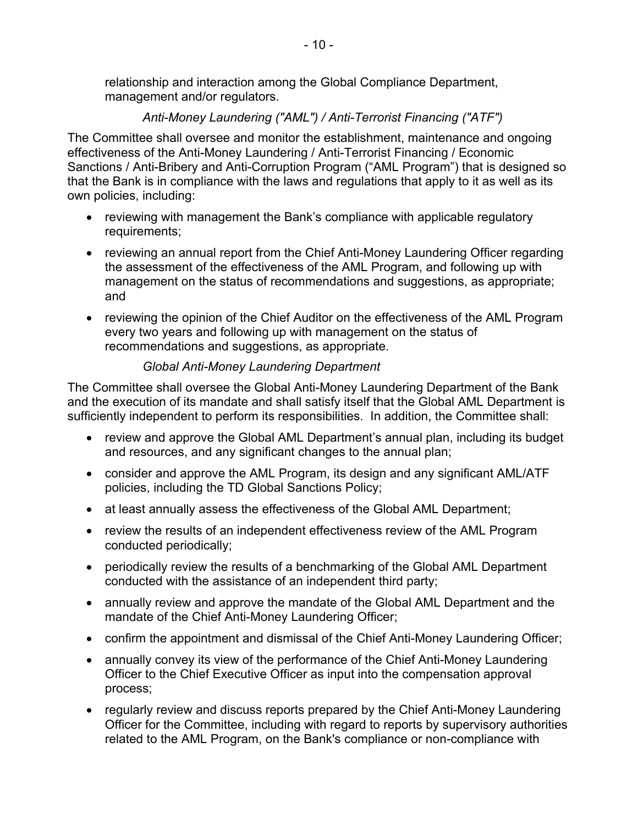relationship and interaction among the Global Compliance Department, management and/or regulators.

## *Anti-Money Laundering ("AML") / Anti-Terrorist Financing ("ATF")*

The Committee shall oversee and monitor the establishment, maintenance and ongoing effectiveness of the Anti-Money Laundering / Anti-Terrorist Financing / Economic Sanctions / Anti-Bribery and Anti-Corruption Program ("AML Program") that is designed so that the Bank is in compliance with the laws and regulations that apply to it as well as its own policies, including:

- reviewing with management the Bank's compliance with applicable regulatory requirements;
- reviewing an annual report from the Chief Anti-Money Laundering Officer regarding the assessment of the effectiveness of the AML Program, and following up with management on the status of recommendations and suggestions, as appropriate; and
- reviewing the opinion of the Chief Auditor on the effectiveness of the AML Program every two years and following up with management on the status of recommendations and suggestions, as appropriate.

# *Global Anti-Money Laundering Department*

The Committee shall oversee the Global Anti-Money Laundering Department of the Bank and the execution of its mandate and shall satisfy itself that the Global AML Department is sufficiently independent to perform its responsibilities. In addition, the Committee shall:

- review and approve the Global AML Department's annual plan, including its budget and resources, and any significant changes to the annual plan;
- consider and approve the AML Program, its design and any significant AML/ATF policies, including the TD Global Sanctions Policy;
- at least annually assess the effectiveness of the Global AML Department;
- review the results of an independent effectiveness review of the AML Program conducted periodically;
- periodically review the results of a benchmarking of the Global AML Department conducted with the assistance of an independent third party;
- annually review and approve the mandate of the Global AML Department and the mandate of the Chief Anti-Money Laundering Officer;
- confirm the appointment and dismissal of the Chief Anti-Money Laundering Officer;
- annually convey its view of the performance of the Chief Anti-Money Laundering Officer to the Chief Executive Officer as input into the compensation approval process;
- regularly review and discuss reports prepared by the Chief Anti-Money Laundering Officer for the Committee, including with regard to reports by supervisory authorities related to the AML Program, on the Bank's compliance or non-compliance with